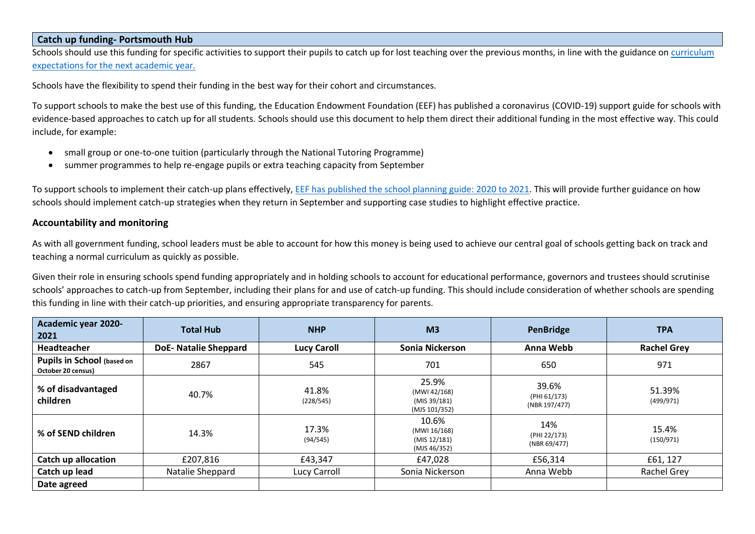#### **Catch up funding- Portsmouth Hub**

Schools should use this funding for specific activities to support their pupils to catch up for lost teaching over the previous months, in line with the guidance on curriculum [expectations for the next academic year.](mailto:https://www.gov.uk/government/publications/actions-for-schools-during-the-coronavirus-outbreak/guidance-for-full-opening-schools%23section-3-curriculum-behaviour-and-pastoral-support)

Schools have the flexibility to spend their funding in the best way for their cohort and circumstances.

To support schools to make the best use of this funding, the Education Endowment Foundation (EEF) has published a coronavirus (COVID-19) support guide for schools with evidence-based approaches to catch up for all students. Schools should use this document to help them direct their additional funding in the most effective way. This could include, for example:

- small group or one-to-one tuition (particularly through the National Tutoring Programme)
- summer programmes to help re-engage pupils or extra teaching capacity from September

To support schools to implement their catch-up plans effectively, [EEF has published the school planning guide: 2020 to 2021.](mailto:https://educationendowmentfoundation.org.uk/covid-19-resources/national-tutoring-programme/covid-19-support-guide-for-schools/%23nav-covid-19-support-guide-for-schools1) This will provide further guidance on how schools should implement catch-up strategies when they return in September and supporting case studies to highlight effective practice.

### **Accountability and monitoring**

As with all government funding, school leaders must be able to account for how this money is being used to achieve our central goal of schools getting back on track and teaching a normal curriculum as quickly as possible.

Given their role in ensuring schools spend funding appropriately and in holding schools to account for educational performance, governors and trustees should scrutinise schools' approaches to catch-up from September, including their plans for and use of catch-up funding. This should include consideration of whether schools are spending this funding in line with their catch-up priorities, and ensuring appropriate transparency for parents.

| <b>Academic year 2020-</b><br>2021               | <b>Total Hub</b>             | <b>NHP</b>         | M <sub>3</sub>                                         | <b>PenBridge</b>                       | <b>TPA</b>          |
|--------------------------------------------------|------------------------------|--------------------|--------------------------------------------------------|----------------------------------------|---------------------|
| Headteacher                                      | <b>DoE- Natalie Sheppard</b> | <b>Lucy Caroll</b> | Sonia Nickerson                                        | Anna Webb                              | <b>Rachel Grey</b>  |
| Pupils in School (based on<br>October 20 census) | 2867                         | 545                | 701                                                    | 650                                    | 971                 |
| % of disadvantaged<br>children                   | 40.7%                        | 41.8%<br>(228/545) | 25.9%<br>(MWI 42/168)<br>(MIS 39/181)<br>(MJS 101/352) | 39.6%<br>(PHI 61/173)<br>(NBR 197/477) | 51.39%<br>(499/971) |
| % of SEND children                               | 14.3%                        | 17.3%<br>(94/545)  | 10.6%<br>(MWI 16/168)<br>(MIS 12/181)<br>(MJS 46/352)  | 14%<br>(PHI 22/173)<br>(NBR 69/477)    | 15.4%<br>(150/971)  |
| <b>Catch up allocation</b>                       | £207,816                     | £43,347            | £47,028                                                | £56,314                                | £61, 127            |
| Catch up lead                                    | Natalie Sheppard             | Lucy Carroll       | Sonia Nickerson                                        | Anna Webb                              | Rachel Grey         |
| Date agreed                                      |                              |                    |                                                        |                                        |                     |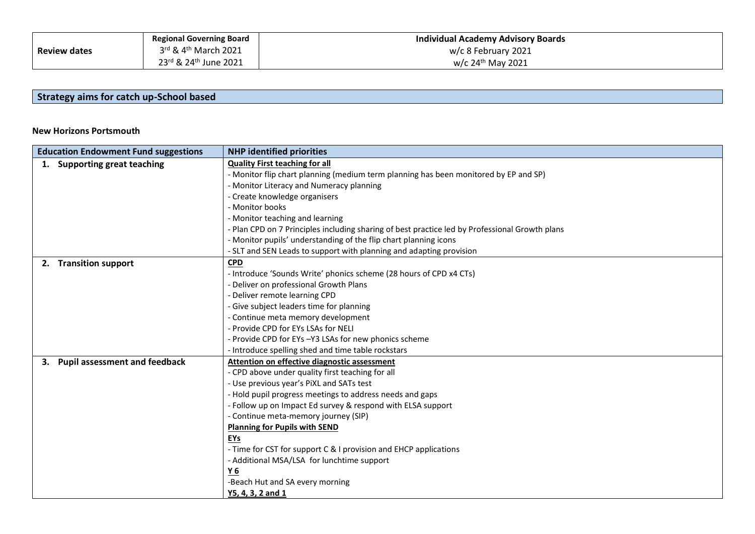|                     | <b>Regional Governing Board</b>    | <b>Individual Academy Advisory Boards</b> |
|---------------------|------------------------------------|-------------------------------------------|
| <b>Review dates</b> | $3rd$ & 4 <sup>th</sup> March 2021 | w/c 8 February 2021                       |
|                     | 23rd & 24th June 2021              | w/c $24^{th}$ May 2021                    |

# **Strategy aims for catch up-School based**

#### **New Horizons Portsmouth**

| <b>Education Endowment Fund suggestions</b> | <b>NHP identified priorities</b>                                                               |
|---------------------------------------------|------------------------------------------------------------------------------------------------|
| 1. Supporting great teaching                | <b>Quality First teaching for all</b>                                                          |
|                                             | - Monitor flip chart planning (medium term planning has been monitored by EP and SP)           |
|                                             | - Monitor Literacy and Numeracy planning                                                       |
|                                             | - Create knowledge organisers                                                                  |
|                                             | - Monitor books                                                                                |
|                                             | - Monitor teaching and learning                                                                |
|                                             | - Plan CPD on 7 Principles including sharing of best practice led by Professional Growth plans |
|                                             | - Monitor pupils' understanding of the flip chart planning icons                               |
|                                             | - SLT and SEN Leads to support with planning and adapting provision                            |
| 2. Transition support                       | <b>CPD</b>                                                                                     |
|                                             | - Introduce 'Sounds Write' phonics scheme (28 hours of CPD x4 CTs)                             |
|                                             | - Deliver on professional Growth Plans                                                         |
|                                             | - Deliver remote learning CPD                                                                  |
|                                             | - Give subject leaders time for planning                                                       |
|                                             | - Continue meta memory development                                                             |
|                                             | - Provide CPD for EYs LSAs for NELI                                                            |
|                                             | - Provide CPD for EYs -Y3 LSAs for new phonics scheme                                          |
|                                             | - Introduce spelling shed and time table rockstars                                             |
| 3. Pupil assessment and feedback            | Attention on effective diagnostic assessment                                                   |
|                                             | - CPD above under quality first teaching for all                                               |
|                                             | - Use previous year's PiXL and SATs test                                                       |
|                                             | - Hold pupil progress meetings to address needs and gaps                                       |
|                                             | - Follow up on Impact Ed survey & respond with ELSA support                                    |
|                                             | - Continue meta-memory journey (SIP)                                                           |
|                                             | <b>Planning for Pupils with SEND</b>                                                           |
|                                             | EYs                                                                                            |
|                                             | - Time for CST for support C & I provision and EHCP applications                               |
|                                             | - Additional MSA/LSA for lunchtime support                                                     |
|                                             | Y 6                                                                                            |
|                                             | -Beach Hut and SA every morning                                                                |
|                                             | Y5, 4, 3, 2 and 1                                                                              |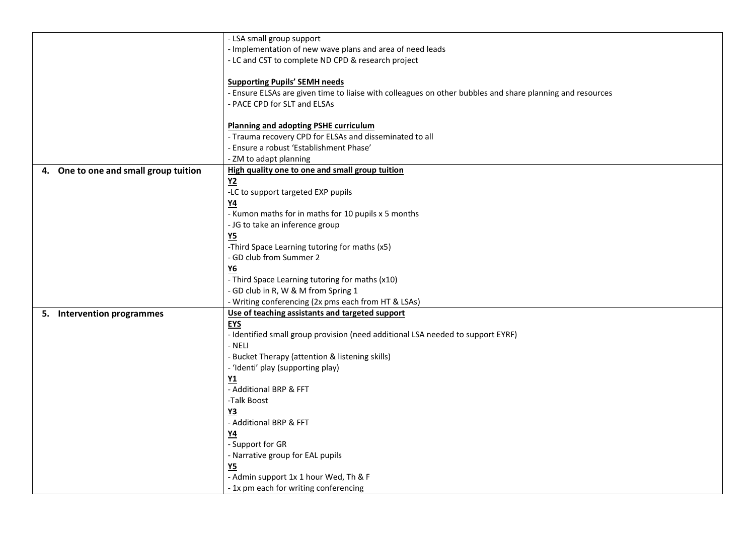|                                       | - LSA small group support                                                                                 |
|---------------------------------------|-----------------------------------------------------------------------------------------------------------|
|                                       | - Implementation of new wave plans and area of need leads                                                 |
|                                       | - LC and CST to complete ND CPD & research project                                                        |
|                                       |                                                                                                           |
|                                       | <b>Supporting Pupils' SEMH needs</b>                                                                      |
|                                       | - Ensure ELSAs are given time to liaise with colleagues on other bubbles and share planning and resources |
|                                       | - PACE CPD for SLT and ELSAs                                                                              |
|                                       |                                                                                                           |
|                                       | Planning and adopting PSHE curriculum                                                                     |
|                                       | - Trauma recovery CPD for ELSAs and disseminated to all                                                   |
|                                       | - Ensure a robust 'Establishment Phase'                                                                   |
|                                       | - ZM to adapt planning                                                                                    |
| 4. One to one and small group tuition | High quality one to one and small group tuition                                                           |
|                                       | $Y2$                                                                                                      |
|                                       | -LC to support targeted EXP pupils                                                                        |
|                                       | $Y4$                                                                                                      |
|                                       | - Kumon maths for in maths for 10 pupils x 5 months                                                       |
|                                       | - JG to take an inference group                                                                           |
|                                       | $Y5$                                                                                                      |
|                                       | -Third Space Learning tutoring for maths (x5)                                                             |
|                                       | - GD club from Summer 2                                                                                   |
|                                       | $Y6$                                                                                                      |
|                                       | - Third Space Learning tutoring for maths (x10)                                                           |
|                                       | - GD club in R, W & M from Spring 1                                                                       |
|                                       | - Writing conferencing (2x pms each from HT & LSAs)                                                       |
| 5. Intervention programmes            | Use of teaching assistants and targeted support                                                           |
|                                       | <b>EYS</b>                                                                                                |
|                                       | - Identified small group provision (need additional LSA needed to support EYRF)                           |
|                                       | - NELI                                                                                                    |
|                                       | - Bucket Therapy (attention & listening skills)                                                           |
|                                       | - 'Identi' play (supporting play)                                                                         |
|                                       | $Y1$                                                                                                      |
|                                       | - Additional BRP & FFT                                                                                    |
|                                       | -Talk Boost                                                                                               |
|                                       | <b>Y3</b>                                                                                                 |
|                                       | - Additional BRP & FFT                                                                                    |
|                                       | Y <sub>4</sub>                                                                                            |
|                                       | - Support for GR                                                                                          |
|                                       | - Narrative group for EAL pupils                                                                          |
|                                       | Y5                                                                                                        |
|                                       | - Admin support 1x 1 hour Wed, Th & F                                                                     |
|                                       |                                                                                                           |
|                                       | - 1x pm each for writing conferencing                                                                     |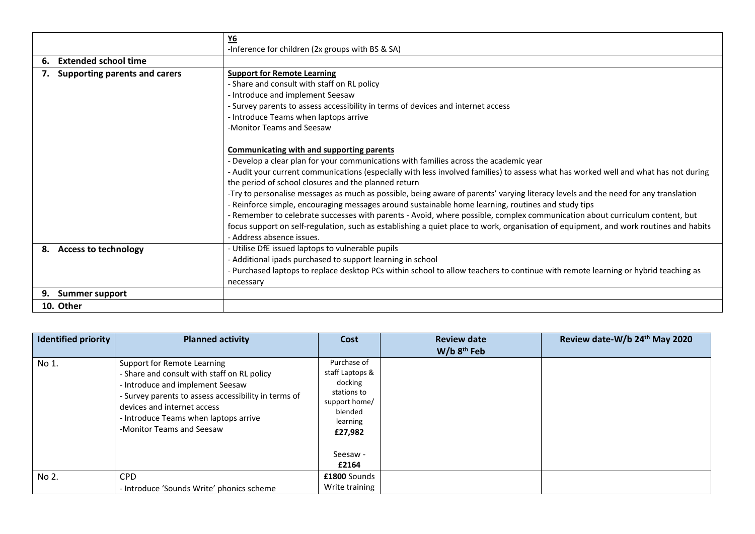|                                      | Υ6                                                                                                                                    |
|--------------------------------------|---------------------------------------------------------------------------------------------------------------------------------------|
|                                      | -Inference for children (2x groups with BS & SA)                                                                                      |
| <b>Extended school time</b><br>6.    |                                                                                                                                       |
| <b>Supporting parents and carers</b> | <b>Support for Remote Learning</b>                                                                                                    |
|                                      | - Share and consult with staff on RL policy                                                                                           |
|                                      | - Introduce and implement Seesaw                                                                                                      |
|                                      | - Survey parents to assess accessibility in terms of devices and internet access                                                      |
|                                      | - Introduce Teams when laptops arrive                                                                                                 |
|                                      | -Monitor Teams and Seesaw                                                                                                             |
|                                      |                                                                                                                                       |
|                                      | <b>Communicating with and supporting parents</b>                                                                                      |
|                                      | - Develop a clear plan for your communications with families across the academic year                                                 |
|                                      | - Audit your current communications (especially with less involved families) to assess what has worked well and what has not during   |
|                                      | the period of school closures and the planned return                                                                                  |
|                                      | -Try to personalise messages as much as possible, being aware of parents' varying literacy levels and the need for any translation    |
|                                      | - Reinforce simple, encouraging messages around sustainable home learning, routines and study tips                                    |
|                                      | - Remember to celebrate successes with parents - Avoid, where possible, complex communication about curriculum content, but           |
|                                      | focus support on self-regulation, such as establishing a quiet place to work, organisation of equipment, and work routines and habits |
|                                      | - Address absence issues.                                                                                                             |
| <b>Access to technology</b><br>8.    | - Utilise DfE issued laptops to vulnerable pupils                                                                                     |
|                                      | - Additional ipads purchased to support learning in school                                                                            |
|                                      | - Purchased laptops to replace desktop PCs within school to allow teachers to continue with remote learning or hybrid teaching as     |
|                                      | necessary                                                                                                                             |
| <b>Summer support</b><br>9.          |                                                                                                                                       |
| 10. Other                            |                                                                                                                                       |

| <b>Identified priority</b> | <b>Planned activity</b>                                                                                                                                                                                                                                                     | Cost                                                                                                                             | <b>Review date</b><br>$W/b$ 8 <sup>th</sup> Feb | Review date-W/b 24th May 2020 |
|----------------------------|-----------------------------------------------------------------------------------------------------------------------------------------------------------------------------------------------------------------------------------------------------------------------------|----------------------------------------------------------------------------------------------------------------------------------|-------------------------------------------------|-------------------------------|
| No 1.                      | Support for Remote Learning<br>- Share and consult with staff on RL policy<br>- Introduce and implement Seesaw<br>- Survey parents to assess accessibility in terms of<br>devices and internet access<br>- Introduce Teams when laptops arrive<br>-Monitor Teams and Seesaw | Purchase of<br>staff Laptops &<br>docking<br>stations to<br>support home/<br>blended<br>learning<br>£27,982<br>Seesaw -<br>£2164 |                                                 |                               |
| No 2.                      | CPD<br>- Introduce 'Sounds Write' phonics scheme                                                                                                                                                                                                                            | £1800 Sounds<br>Write training                                                                                                   |                                                 |                               |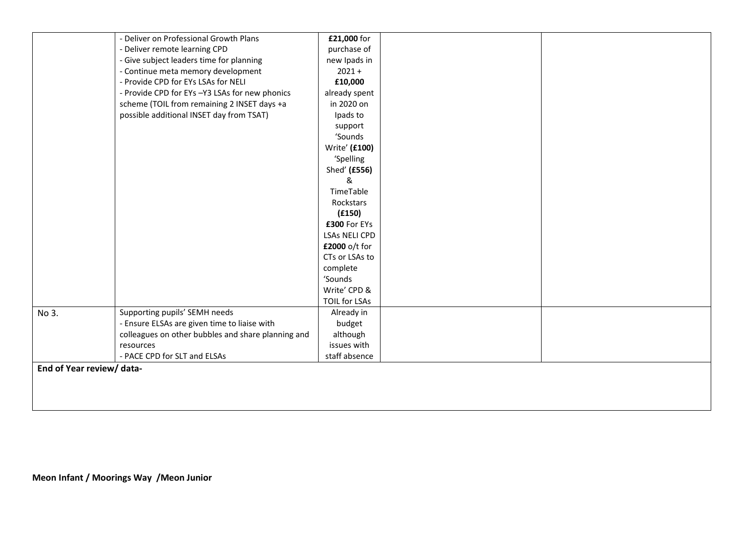|                           | - Deliver on Professional Growth Plans             | £21,000 for          |  |
|---------------------------|----------------------------------------------------|----------------------|--|
|                           | - Deliver remote learning CPD                      | purchase of          |  |
|                           | - Give subject leaders time for planning           | new Ipads in         |  |
|                           | - Continue meta memory development                 | $2021 +$             |  |
|                           | - Provide CPD for EYs LSAs for NELI                | £10,000              |  |
|                           | - Provide CPD for EYs -Y3 LSAs for new phonics     | already spent        |  |
|                           | scheme (TOIL from remaining 2 INSET days +a        | in 2020 on           |  |
|                           | possible additional INSET day from TSAT)           | Ipads to             |  |
|                           |                                                    | support              |  |
|                           |                                                    | 'Sounds              |  |
|                           |                                                    | Write' (£100)        |  |
|                           |                                                    | 'Spelling            |  |
|                           |                                                    | Shed' (£556)         |  |
|                           |                                                    | &                    |  |
|                           |                                                    | TimeTable            |  |
|                           |                                                    | Rockstars            |  |
|                           |                                                    | (f150)               |  |
|                           |                                                    | £300 For EYs         |  |
|                           |                                                    | <b>LSAs NELI CPD</b> |  |
|                           |                                                    | £2000 o/t for        |  |
|                           |                                                    | CTs or LSAs to       |  |
|                           |                                                    | complete             |  |
|                           |                                                    | 'Sounds              |  |
|                           |                                                    | Write' CPD &         |  |
|                           |                                                    | TOIL for LSAs        |  |
| No 3.                     | Supporting pupils' SEMH needs                      | Already in           |  |
|                           | - Ensure ELSAs are given time to liaise with       | budget               |  |
|                           | colleagues on other bubbles and share planning and | although             |  |
|                           | resources                                          | issues with          |  |
|                           | - PACE CPD for SLT and ELSAs                       | staff absence        |  |
| End of Year review/ data- |                                                    |                      |  |
|                           |                                                    |                      |  |
|                           |                                                    |                      |  |
|                           |                                                    |                      |  |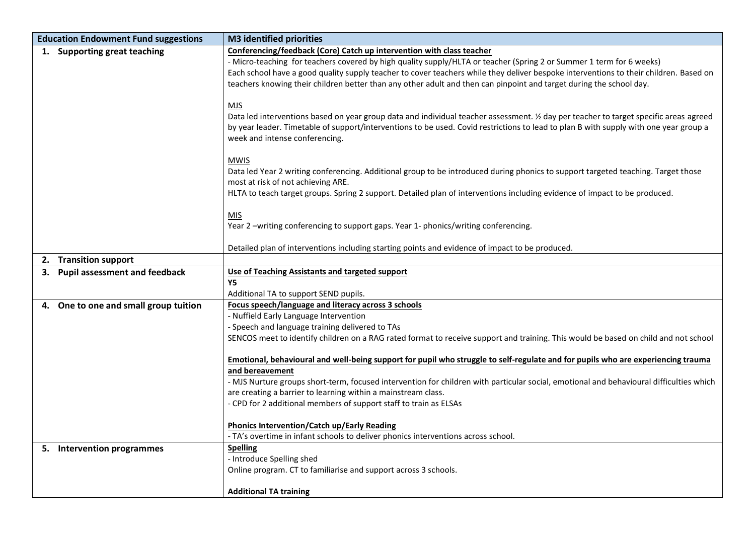| <b>Education Endowment Fund suggestions</b> | <b>M3 identified priorities</b>                                                                                                                      |  |  |  |
|---------------------------------------------|------------------------------------------------------------------------------------------------------------------------------------------------------|--|--|--|
| 1. Supporting great teaching                | Conferencing/feedback (Core) Catch up intervention with class teacher                                                                                |  |  |  |
|                                             | - Micro-teaching for teachers covered by high quality supply/HLTA or teacher (Spring 2 or Summer 1 term for 6 weeks)                                 |  |  |  |
|                                             | Each school have a good quality supply teacher to cover teachers while they deliver bespoke interventions to their children. Based on                |  |  |  |
|                                             | teachers knowing their children better than any other adult and then can pinpoint and target during the school day.                                  |  |  |  |
|                                             |                                                                                                                                                      |  |  |  |
|                                             | <b>MJS</b><br>Data led interventions based on year group data and individual teacher assessment. 1/2 day per teacher to target specific areas agreed |  |  |  |
|                                             | by year leader. Timetable of support/interventions to be used. Covid restrictions to lead to plan B with supply with one year group a                |  |  |  |
|                                             | week and intense conferencing.                                                                                                                       |  |  |  |
|                                             |                                                                                                                                                      |  |  |  |
|                                             | <b>MWIS</b>                                                                                                                                          |  |  |  |
|                                             | Data led Year 2 writing conferencing. Additional group to be introduced during phonics to support targeted teaching. Target those                    |  |  |  |
|                                             | most at risk of not achieving ARE.                                                                                                                   |  |  |  |
|                                             | HLTA to teach target groups. Spring 2 support. Detailed plan of interventions including evidence of impact to be produced.                           |  |  |  |
|                                             |                                                                                                                                                      |  |  |  |
|                                             | <b>MIS</b>                                                                                                                                           |  |  |  |
|                                             | Year 2 -writing conferencing to support gaps. Year 1- phonics/writing conferencing.                                                                  |  |  |  |
|                                             | Detailed plan of interventions including starting points and evidence of impact to be produced.                                                      |  |  |  |
| 2. Transition support                       |                                                                                                                                                      |  |  |  |
| 3. Pupil assessment and feedback            | Use of Teaching Assistants and targeted support                                                                                                      |  |  |  |
|                                             | <b>Y5</b>                                                                                                                                            |  |  |  |
|                                             | Additional TA to support SEND pupils.                                                                                                                |  |  |  |
| One to one and small group tuition<br>4.    | Focus speech/language and literacy across 3 schools                                                                                                  |  |  |  |
|                                             | - Nuffield Early Language Intervention                                                                                                               |  |  |  |
|                                             | - Speech and language training delivered to TAs                                                                                                      |  |  |  |
|                                             | SENCOS meet to identify children on a RAG rated format to receive support and training. This would be based on child and not school                  |  |  |  |
|                                             | Emotional, behavioural and well-being support for pupil who struggle to self-regulate and for pupils who are experiencing trauma                     |  |  |  |
|                                             | and bereavement                                                                                                                                      |  |  |  |
|                                             | - MJS Nurture groups short-term, focused intervention for children with particular social, emotional and behavioural difficulties which              |  |  |  |
|                                             | are creating a barrier to learning within a mainstream class.                                                                                        |  |  |  |
|                                             | - CPD for 2 additional members of support staff to train as ELSAs                                                                                    |  |  |  |
|                                             |                                                                                                                                                      |  |  |  |
|                                             | <b>Phonics Intervention/Catch up/Early Reading</b>                                                                                                   |  |  |  |
|                                             | - TA's overtime in infant schools to deliver phonics interventions across school.                                                                    |  |  |  |
| 5. Intervention programmes                  | <b>Spelling</b><br>- Introduce Spelling shed                                                                                                         |  |  |  |
|                                             | Online program. CT to familiarise and support across 3 schools.                                                                                      |  |  |  |
|                                             |                                                                                                                                                      |  |  |  |
|                                             | <b>Additional TA training</b>                                                                                                                        |  |  |  |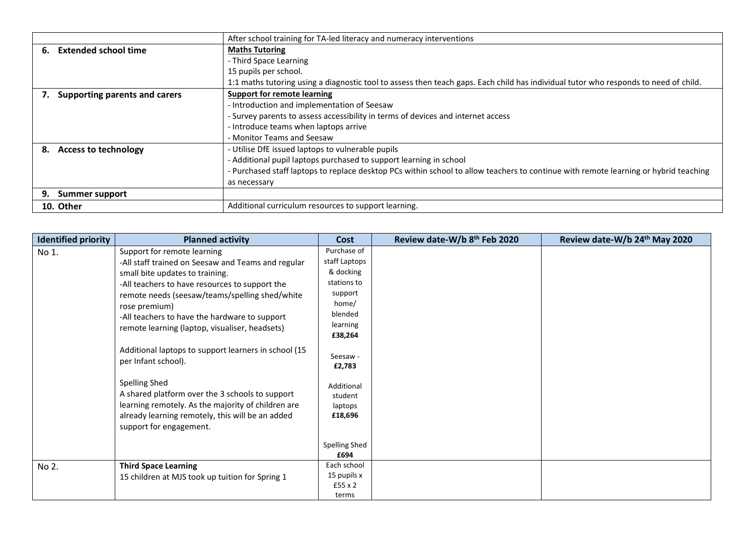|    |                               | After school training for TA-led literacy and numeracy interventions                                                                 |
|----|-------------------------------|--------------------------------------------------------------------------------------------------------------------------------------|
| 6. | <b>Extended school time</b>   | <b>Maths Tutoring</b>                                                                                                                |
|    |                               | - Third Space Learning                                                                                                               |
|    |                               | 15 pupils per school.                                                                                                                |
|    |                               | 1:1 maths tutoring using a diagnostic tool to assess then teach gaps. Each child has individual tutor who responds to need of child. |
|    | Supporting parents and carers | <b>Support for remote learning</b>                                                                                                   |
|    |                               | - Introduction and implementation of Seesaw                                                                                          |
|    |                               | - Survey parents to assess accessibility in terms of devices and internet access                                                     |
|    |                               | - Introduce teams when laptops arrive                                                                                                |
|    |                               | - Monitor Teams and Seesaw                                                                                                           |
| 8. | <b>Access to technology</b>   | - Utilise DfE issued laptops to vulnerable pupils                                                                                    |
|    |                               | - Additional pupil laptops purchased to support learning in school                                                                   |
|    |                               | - Purchased staff laptops to replace desktop PCs within school to allow teachers to continue with remote learning or hybrid teaching |
|    |                               | as necessary                                                                                                                         |
| 9. | Summer support                |                                                                                                                                      |
|    | 10. Other                     | Additional curriculum resources to support learning.                                                                                 |

| <b>Identified priority</b> | <b>Planned activity</b>                                                                                                                                                                               | <b>Cost</b>                                 | Review date-W/b 8th Feb 2020 | Review date-W/b 24th May 2020 |
|----------------------------|-------------------------------------------------------------------------------------------------------------------------------------------------------------------------------------------------------|---------------------------------------------|------------------------------|-------------------------------|
| No 1.                      | Support for remote learning                                                                                                                                                                           | Purchase of                                 |                              |                               |
|                            | -All staff trained on Seesaw and Teams and regular                                                                                                                                                    | staff Laptops                               |                              |                               |
|                            | small bite updates to training.                                                                                                                                                                       | & docking                                   |                              |                               |
|                            | -All teachers to have resources to support the                                                                                                                                                        | stations to                                 |                              |                               |
|                            | remote needs (seesaw/teams/spelling shed/white                                                                                                                                                        | support                                     |                              |                               |
|                            | rose premium)                                                                                                                                                                                         | home/                                       |                              |                               |
|                            | -All teachers to have the hardware to support                                                                                                                                                         | blended                                     |                              |                               |
|                            | remote learning (laptop, visualiser, headsets)                                                                                                                                                        | learning                                    |                              |                               |
|                            |                                                                                                                                                                                                       | £38,264                                     |                              |                               |
|                            | Additional laptops to support learners in school (15<br>per Infant school).                                                                                                                           | Seesaw -<br>£2,783                          |                              |                               |
|                            | Spelling Shed<br>A shared platform over the 3 schools to support<br>learning remotely. As the majority of children are<br>already learning remotely, this will be an added<br>support for engagement. | Additional<br>student<br>laptops<br>£18,696 |                              |                               |
|                            |                                                                                                                                                                                                       | <b>Spelling Shed</b><br>£694                |                              |                               |
| No 2.                      | <b>Third Space Learning</b>                                                                                                                                                                           | Each school                                 |                              |                               |
|                            | 15 children at MJS took up tuition for Spring 1                                                                                                                                                       | 15 pupils x                                 |                              |                               |
|                            |                                                                                                                                                                                                       | $£55 \times 2$                              |                              |                               |
|                            |                                                                                                                                                                                                       | terms                                       |                              |                               |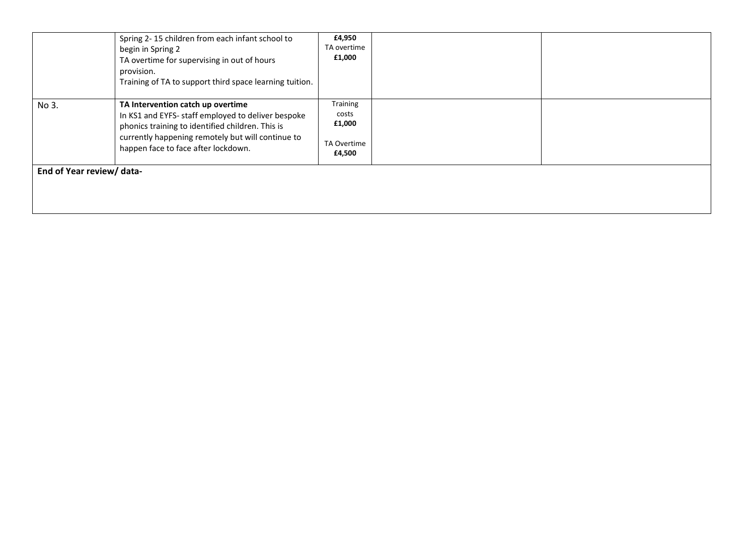|                           | Spring 2-15 children from each infant school to<br>begin in Spring 2<br>TA overtime for supervising in out of hours<br>provision.<br>Training of TA to support third space learning tuition.                                            | £4,950<br>TA overtime<br>£1,000                      |  |
|---------------------------|-----------------------------------------------------------------------------------------------------------------------------------------------------------------------------------------------------------------------------------------|------------------------------------------------------|--|
| No 3.                     | TA Intervention catch up overtime<br>In KS1 and EYFS- staff employed to deliver bespoke<br>phonics training to identified children. This is<br>currently happening remotely but will continue to<br>happen face to face after lockdown. | Training<br>costs<br>£1,000<br>TA Overtime<br>£4,500 |  |
| End of Year review/ data- |                                                                                                                                                                                                                                         |                                                      |  |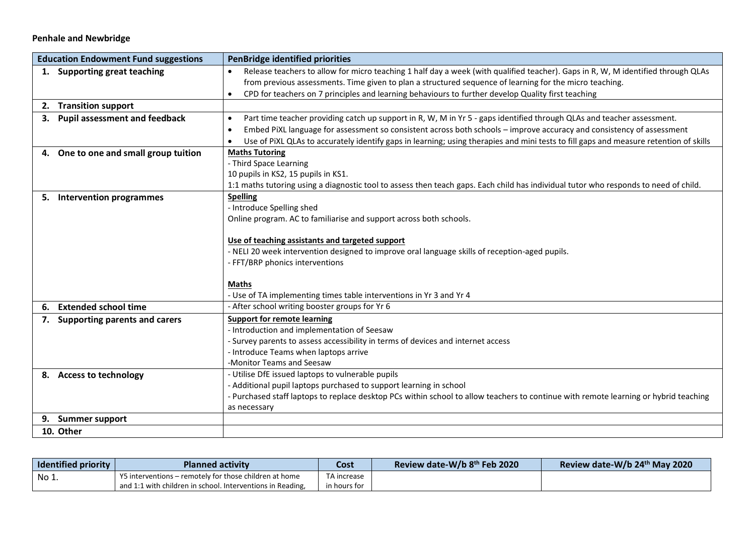## **Penhale and Newbridge**

| <b>Education Endowment Fund suggestions</b> | <b>PenBridge identified priorities</b>                                                                                                             |
|---------------------------------------------|----------------------------------------------------------------------------------------------------------------------------------------------------|
| 1. Supporting great teaching                | Release teachers to allow for micro teaching 1 half day a week (with qualified teacher). Gaps in R, W, M identified through QLAs                   |
|                                             | from previous assessments. Time given to plan a structured sequence of learning for the micro teaching.                                            |
|                                             | CPD for teachers on 7 principles and learning behaviours to further develop Quality first teaching<br>$\bullet$                                    |
| <b>Transition support</b>                   |                                                                                                                                                    |
| <b>Pupil assessment and feedback</b>        | Part time teacher providing catch up support in R, W, M in Yr 5 - gaps identified through QLAs and teacher assessment.<br>$\bullet$                |
|                                             | Embed PiXL language for assessment so consistent across both schools - improve accuracy and consistency of assessment<br>$\bullet$                 |
|                                             | Use of PIXL QLAs to accurately identify gaps in learning; using therapies and mini tests to fill gaps and measure retention of skills<br>$\bullet$ |
| 4. One to one and small group tuition       | <b>Maths Tutoring</b>                                                                                                                              |
|                                             | - Third Space Learning                                                                                                                             |
|                                             | 10 pupils in KS2, 15 pupils in KS1.                                                                                                                |
|                                             | 1:1 maths tutoring using a diagnostic tool to assess then teach gaps. Each child has individual tutor who responds to need of child.               |
| <b>Intervention programmes</b><br>5.        | <b>Spelling</b>                                                                                                                                    |
|                                             | - Introduce Spelling shed                                                                                                                          |
|                                             | Online program. AC to familiarise and support across both schools.                                                                                 |
|                                             |                                                                                                                                                    |
|                                             | Use of teaching assistants and targeted support                                                                                                    |
|                                             | - NELI 20 week intervention designed to improve oral language skills of reception-aged pupils.                                                     |
|                                             | - FFT/BRP phonics interventions                                                                                                                    |
|                                             |                                                                                                                                                    |
|                                             | <b>Maths</b>                                                                                                                                       |
|                                             | - Use of TA implementing times table interventions in Yr 3 and Yr 4                                                                                |
| <b>Extended school time</b><br>6.           | - After school writing booster groups for Yr 6                                                                                                     |
| <b>Supporting parents and carers</b>        | <b>Support for remote learning</b>                                                                                                                 |
|                                             | - Introduction and implementation of Seesaw                                                                                                        |
|                                             | - Survey parents to assess accessibility in terms of devices and internet access                                                                   |
|                                             | - Introduce Teams when laptops arrive                                                                                                              |
|                                             | -Monitor Teams and Seesaw                                                                                                                          |
| <b>Access to technology</b><br>8.           | - Utilise DfE issued laptops to vulnerable pupils                                                                                                  |
|                                             | - Additional pupil laptops purchased to support learning in school                                                                                 |
|                                             | - Purchased staff laptops to replace desktop PCs within school to allow teachers to continue with remote learning or hybrid teaching               |
|                                             | as necessary                                                                                                                                       |
| <b>Summer support</b><br>9.                 |                                                                                                                                                    |
| 10. Other                                   |                                                                                                                                                    |

| <b>Identified priority</b> | <b>Planned activity</b>                                    | Cost         | Review date-W/b 8th Feb 2020 | Review date-W/b 24 <sup>th</sup> May 2020 |
|----------------------------|------------------------------------------------------------|--------------|------------------------------|-------------------------------------------|
| No 1                       | Y5 interventions – remotely for those children at home     | TA increase  |                              |                                           |
|                            | and 1:1 with children in school. Interventions in Reading. | in hours for |                              |                                           |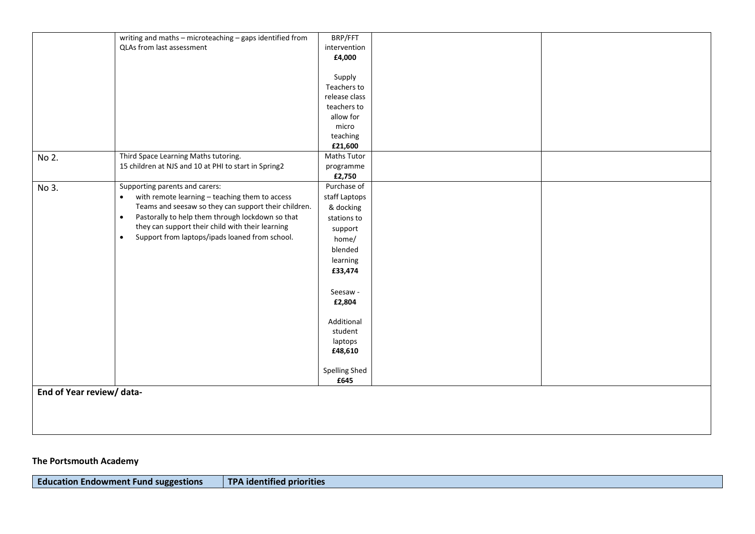|                           | writing and maths - microteaching - gaps identified from      | BRP/FFT              |  |
|---------------------------|---------------------------------------------------------------|----------------------|--|
|                           | QLAs from last assessment                                     | intervention         |  |
|                           |                                                               | £4,000               |  |
|                           |                                                               |                      |  |
|                           |                                                               | Supply               |  |
|                           |                                                               | Teachers to          |  |
|                           |                                                               | release class        |  |
|                           |                                                               | teachers to          |  |
|                           |                                                               | allow for            |  |
|                           |                                                               | micro                |  |
|                           |                                                               | teaching             |  |
|                           |                                                               | £21,600              |  |
| No 2.                     | Third Space Learning Maths tutoring.                          | Maths Tutor          |  |
|                           | 15 children at NJS and 10 at PHI to start in Spring2          | programme            |  |
|                           |                                                               | £2,750               |  |
| No 3.                     | Supporting parents and carers:                                | Purchase of          |  |
|                           | • with remote learning - teaching them to access              | staff Laptops        |  |
|                           | Teams and seesaw so they can support their children.          | & docking            |  |
|                           | Pastorally to help them through lockdown so that<br>$\bullet$ | stations to          |  |
|                           | they can support their child with their learning              | support              |  |
|                           | Support from laptops/ipads loaned from school.<br>$\bullet$   | home/                |  |
|                           |                                                               | blended              |  |
|                           |                                                               | learning             |  |
|                           |                                                               | £33,474              |  |
|                           |                                                               |                      |  |
|                           |                                                               |                      |  |
|                           |                                                               | Seesaw -<br>£2,804   |  |
|                           |                                                               |                      |  |
|                           |                                                               | Additional           |  |
|                           |                                                               | student              |  |
|                           |                                                               | laptops              |  |
|                           |                                                               | £48,610              |  |
|                           |                                                               |                      |  |
|                           |                                                               | <b>Spelling Shed</b> |  |
|                           |                                                               | £645                 |  |
|                           |                                                               |                      |  |
| End of Year review/ data- |                                                               |                      |  |
|                           |                                                               |                      |  |
|                           |                                                               |                      |  |
|                           |                                                               |                      |  |
|                           |                                                               |                      |  |

## **The Portsmouth Academy**

**Education Endowment Fund suggestions TPA identified priorities**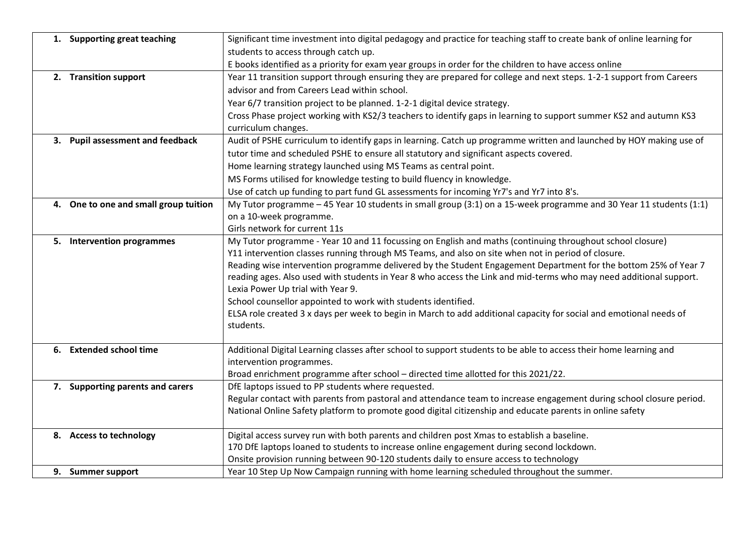| 1. Supporting great teaching          | Significant time investment into digital pedagogy and practice for teaching staff to create bank of online learning for                                                                                                               |
|---------------------------------------|---------------------------------------------------------------------------------------------------------------------------------------------------------------------------------------------------------------------------------------|
|                                       | students to access through catch up.                                                                                                                                                                                                  |
|                                       | E books identified as a priority for exam year groups in order for the children to have access online                                                                                                                                 |
| 2. Transition support                 | Year 11 transition support through ensuring they are prepared for college and next steps. 1-2-1 support from Careers                                                                                                                  |
|                                       | advisor and from Careers Lead within school.                                                                                                                                                                                          |
|                                       | Year 6/7 transition project to be planned. 1-2-1 digital device strategy.                                                                                                                                                             |
|                                       | Cross Phase project working with KS2/3 teachers to identify gaps in learning to support summer KS2 and autumn KS3                                                                                                                     |
|                                       | curriculum changes.                                                                                                                                                                                                                   |
| 3. Pupil assessment and feedback      | Audit of PSHE curriculum to identify gaps in learning. Catch up programme written and launched by HOY making use of                                                                                                                   |
|                                       | tutor time and scheduled PSHE to ensure all statutory and significant aspects covered.                                                                                                                                                |
|                                       | Home learning strategy launched using MS Teams as central point.                                                                                                                                                                      |
|                                       | MS Forms utilised for knowledge testing to build fluency in knowledge.                                                                                                                                                                |
|                                       | Use of catch up funding to part fund GL assessments for incoming Yr7's and Yr7 into 8's.                                                                                                                                              |
| 4. One to one and small group tuition | My Tutor programme - 45 Year 10 students in small group (3:1) on a 15-week programme and 30 Year 11 students (1:1)                                                                                                                    |
|                                       | on a 10-week programme.                                                                                                                                                                                                               |
|                                       | Girls network for current 11s                                                                                                                                                                                                         |
| 5. Intervention programmes            | My Tutor programme - Year 10 and 11 focussing on English and maths (continuing throughout school closure)                                                                                                                             |
|                                       | Y11 intervention classes running through MS Teams, and also on site when not in period of closure.                                                                                                                                    |
|                                       | Reading wise intervention programme delivered by the Student Engagement Department for the bottom 25% of Year 7<br>reading ages. Also used with students in Year 8 who access the Link and mid-terms who may need additional support. |
|                                       | Lexia Power Up trial with Year 9.                                                                                                                                                                                                     |
|                                       | School counsellor appointed to work with students identified.                                                                                                                                                                         |
|                                       | ELSA role created 3 x days per week to begin in March to add additional capacity for social and emotional needs of                                                                                                                    |
|                                       | students.                                                                                                                                                                                                                             |
|                                       |                                                                                                                                                                                                                                       |
| 6. Extended school time               | Additional Digital Learning classes after school to support students to be able to access their home learning and                                                                                                                     |
|                                       | intervention programmes.                                                                                                                                                                                                              |
|                                       | Broad enrichment programme after school - directed time allotted for this 2021/22.                                                                                                                                                    |
| 7. Supporting parents and carers      | DfE laptops issued to PP students where requested.                                                                                                                                                                                    |
|                                       | Regular contact with parents from pastoral and attendance team to increase engagement during school closure period.                                                                                                                   |
|                                       | National Online Safety platform to promote good digital citizenship and educate parents in online safety                                                                                                                              |
| 8. Access to technology               | Digital access survey run with both parents and children post Xmas to establish a baseline.                                                                                                                                           |
|                                       | 170 DfE laptops loaned to students to increase online engagement during second lockdown.                                                                                                                                              |
|                                       | Onsite provision running between 90-120 students daily to ensure access to technology                                                                                                                                                 |
| 9. Summer support                     | Year 10 Step Up Now Campaign running with home learning scheduled throughout the summer.                                                                                                                                              |